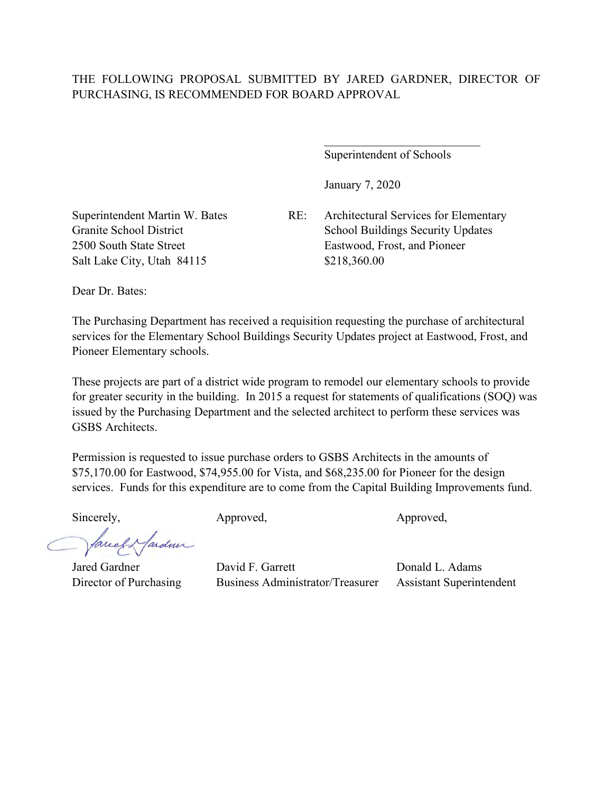## THE FOLLOWING PROPOSAL SUBMITTED BY JARED GARDNER, DIRECTOR OF PURCHASING, IS RECOMMENDED FOR BOARD APPROVAL

Superintendent of Schools

January 7, 2020

Salt Lake City, Utah 84115 \$218,360.00

Superintendent Martin W. Bates RE: Architectural Services for Elementary Granite School District School Buildings Security Updates 2500 South State Street Eastwood, Frost, and Pioneer

Dear Dr. Bates:

The Purchasing Department has received a requisition requesting the purchase of architectural services for the Elementary School Buildings Security Updates project at Eastwood, Frost, and Pioneer Elementary schools.

These projects are part of a district wide program to remodel our elementary schools to provide for greater security in the building. In 2015 a request for statements of qualifications (SOQ) was issued by the Purchasing Department and the selected architect to perform these services was GSBS Architects.

Permission is requested to issue purchase orders to GSBS Architects in the amounts of \$75,170.00 for Eastwood, \$74,955.00 for Vista, and \$68,235.00 for Pioneer for the design services. Funds for this expenditure are to come from the Capital Building Improvements fund.

facely farder

Sincerely, Approved, Approved, Approved,

Jared Gardner David F. Garrett Donald L. Adams Director of Purchasing Business Administrator/Treasurer Assistant Superintendent